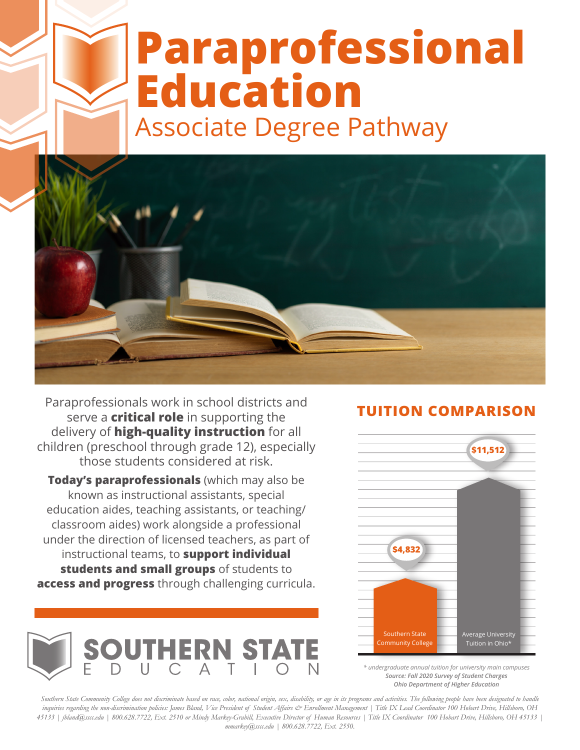# **Paraprofessional Education** Associate Degree Pathway



Paraprofessionals work in school districts and serve a **critical role** in supporting the delivery of **high-quality instruction** for all children (preschool through grade 12), especially those students considered at risk.

**Today's paraprofessionals** (which may also be known as instructional assistants, special education aides, teaching assistants, or teaching/ classroom aides) work alongside a professional under the direction of licensed teachers, as part of instructional teams, to **support individual students and small groups** of students to **access and progress** through challenging curricula.



### **TUITION COMPARISON**



*\* undergraduate annual tuition for university main campuses Source: Fall 2020 Survey of Student Charges Ohio Department of Higher Education*

*Southern State Community College does not discriminate based on race, color, national origin, sex, disability, or age in its programs and activities. The following people have been designated to handle inquiries regarding the non-discrimination policies: James Bland, Vice President of Student Affairs & Enrollment Management | Title IX Lead Coordinator 100 Hobart Drive, Hillsboro, OH 45133 | jbland@sscc.edu | 800.628.7722, Ext. 2510 or Mindy Markey-Grabill, Executive Director of Human Resources | Title IX Coordinator 100 Hobart Drive, Hillsboro, OH 45133 | mmarkey@sscc.edu | 800.628.7722, Ext. 2550.*